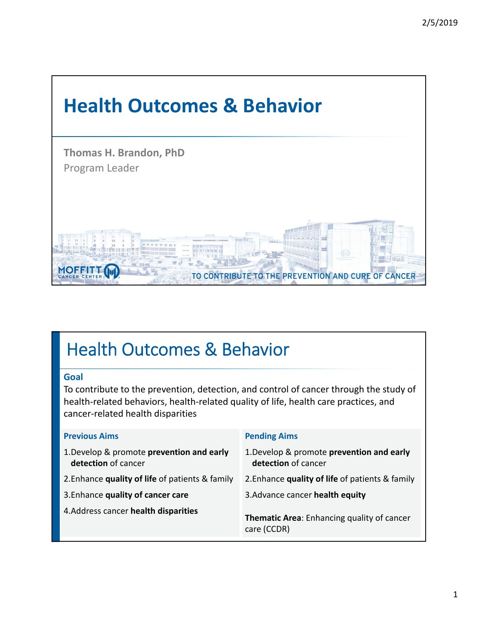

# Health Outcomes & Behavior

#### **Goal**

To contribute to the prevention, detection, and control of cancer through the study of health‐related behaviors, health‐related quality of life, health care practices, and cancer‐related health disparities

| <b>Previous Aims</b>                                             | <b>Pending Aims</b>                                              |
|------------------------------------------------------------------|------------------------------------------------------------------|
| 1. Develop & promote prevention and early<br>detection of cancer | 1. Develop & promote prevention and early<br>detection of cancer |
| 2. Enhance quality of life of patients & family                  | 2. Enhance quality of life of patients & family                  |
| 3. Enhance quality of cancer care                                | 3. Advance cancer health equity                                  |
| 4. Address cancer health disparities                             | Thematic Area: Enhancing quality of cancer<br>care (CCDR)        |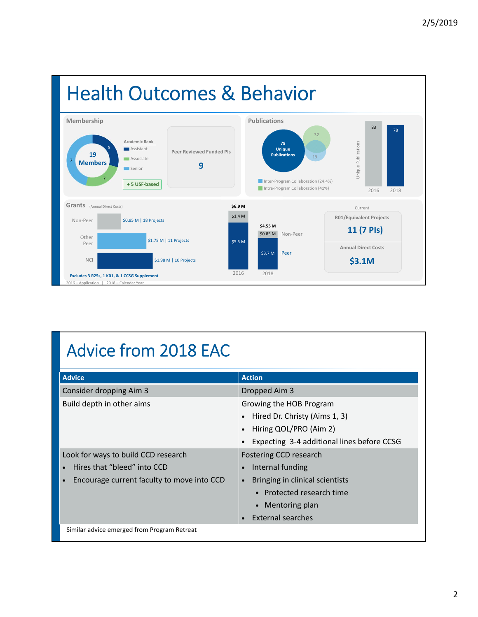

# Advice from 2018 EAC

| <b>Advice</b>                                           | <b>Action</b>                                |
|---------------------------------------------------------|----------------------------------------------|
| Consider dropping Aim 3                                 | Dropped Aim 3                                |
| Build depth in other aims                               | Growing the HOB Program                      |
|                                                         | Hired Dr. Christy (Aims 1, 3)                |
|                                                         | Hiring QOL/PRO (Aim 2)                       |
|                                                         | Expecting 3-4 additional lines before CCSG   |
| Look for ways to build CCD research                     | Fostering CCD research                       |
| Hires that "bleed" into CCD                             | Internal funding                             |
| Encourage current faculty to move into CCD<br>$\bullet$ | Bringing in clinical scientists<br>$\bullet$ |
|                                                         | • Protected research time                    |
|                                                         | Mentoring plan<br>$\bullet$                  |
|                                                         | External searches                            |
| Similar advice emerged from Program Retreat             |                                              |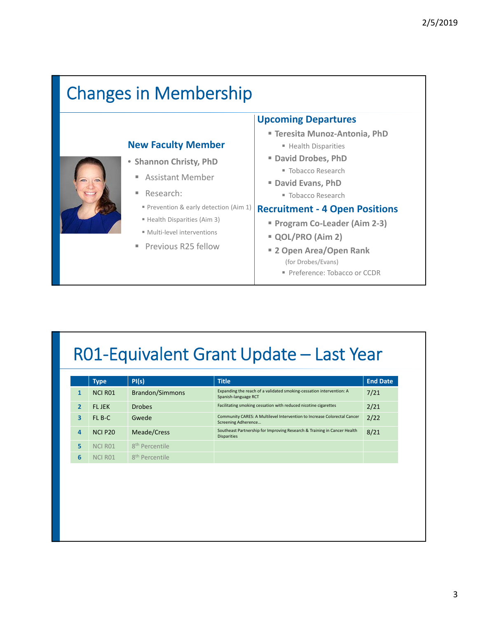# Changes in Membership

## **New Faculty Member**



- **Shannon Christy, PhD**
	- Assistant Member
	- Research:
		- Prevention & early detection (Aim 1)
		- Health Disparities (Aim 3)
	- Multi-level interventions
	- **Previous R25 fellow**

#### **Upcoming Departures**

- **Teresita Munoz‐Antonia, PhD**
	- Health Disparities
- **David Drobes, PhD** ■ Tobacco Research
- **David Evans, PhD**
	- Tobacco Research

#### **Recruitment ‐ 4 Open Positions**

- **Program Co‐Leader (Aim 2‐3)**
- **QOL/PRO (Aim 2)**
- **2 Open Area/Open Rank** (for Drobes/Evans)
	- Preference: Tobacco or CCDR

## R01‐Equivalent Grant Update – Last Year

|   | <b>Type</b>        | PI(s)                      | <b>Title</b>                                                                                    | <b>End Date</b> |
|---|--------------------|----------------------------|-------------------------------------------------------------------------------------------------|-----------------|
|   | <b>NCI R01</b>     | <b>Brandon/Simmons</b>     | Expanding the reach of a validated smoking-cessation intervention: A<br>Spanish-language RCT    | 7/21            |
|   | <b>FI JFK</b>      | <b>Drobes</b>              | Facilitating smoking cessation with reduced nicotine cigarettes                                 | 2/21            |
| 3 | $FI$ $B-C$         | Gwede                      | Community CARES: A Multilevel Intervention to Increase Colorectal Cancer<br>Screening Adherence | 2/22            |
| 4 | <b>NCI P20</b>     | Meade/Cress                | Southeast Partnership for Improving Research & Training in Cancer Health<br><b>Disparities</b>  | 8/21            |
| 5 | <b>NCLR01</b>      | 8 <sup>th</sup> Percentile |                                                                                                 |                 |
| 6 | NCLR <sub>01</sub> | 8 <sup>th</sup> Percentile |                                                                                                 |                 |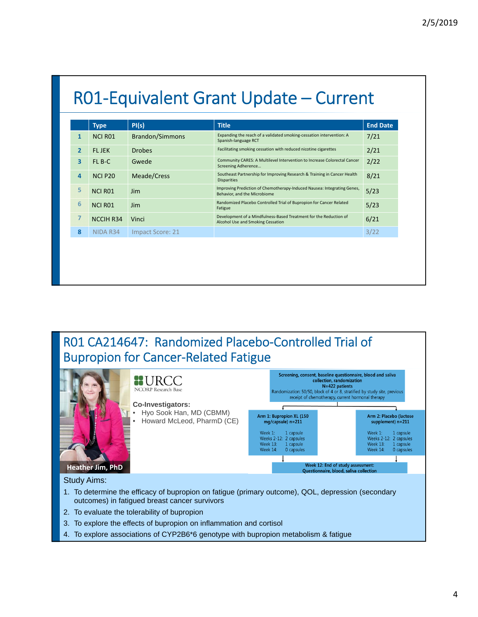|                         | <b>Type</b>      | PI(s)                  | <b>Title</b>                                                                                            | <b>End Date</b> |
|-------------------------|------------------|------------------------|---------------------------------------------------------------------------------------------------------|-----------------|
| $\mathbf{1}$            | <b>NCI R01</b>   | <b>Brandon/Simmons</b> | Expanding the reach of a validated smoking-cessation intervention: A<br>Spanish-language RCT            | 7/21            |
| $\overline{2}$          | <b>FLJEK</b>     | <b>Drobes</b>          | Facilitating smoking cessation with reduced nicotine cigarettes                                         | 2/21            |
| $\overline{\mathbf{3}}$ | FL B-C           | Gwede                  | Community CARES: A Multilevel Intervention to Increase Colorectal Cancer<br>Screening Adherence         | 2/22            |
| $\overline{4}$          | <b>NCI P20</b>   | Meade/Cress            | Southeast Partnership for Improving Research & Training in Cancer Health<br><b>Disparities</b>          | 8/21            |
| 5                       | <b>NCI R01</b>   | <b>Jim</b>             | Improving Prediction of Chemotherapy-Induced Nausea: Integrating Genes,<br>Behavior, and the Microbiome | 5/23            |
| 6                       | <b>NCI R01</b>   | <b>Jim</b>             | Randomized Placebo Controlled Trial of Bupropion for Cancer Related<br>Fatigue                          | 5/23            |
| $\overline{7}$          | <b>NCCIH R34</b> | Vinci                  | Development of a Mindfulness-Based Treatment for the Reduction of<br>Alcohol Use and Smoking Cessation  | 6/21            |
| 8                       | NIDA R34         | Impact Score: 21       |                                                                                                         | 3/22            |

### R01 CA214647: Randomized Placebo‐Controlled Trial of Bupropion for Cancer‐Related Fatigue



- outcomes) in fatigued breast cancer survivors
- 2. To evaluate the tolerability of bupropion
- 3. To explore the effects of bupropion on inflammation and cortisol
- 4. To explore associations of CYP2B6\*6 genotype with bupropion metabolism & fatigue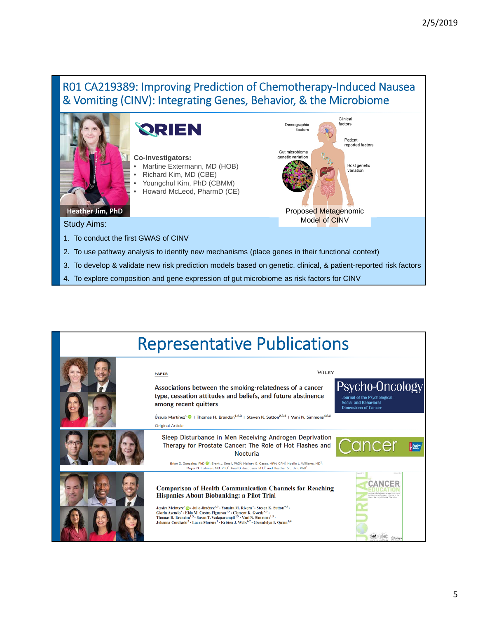### R01 CA219389: Improving Prediction of Chemotherapy‐Induced Nausea & Vomiting (CINV): Integrating Genes, Behavior, & the Microbiome



4. To explore composition and gene expression of gut microbiome as risk factors for CINV